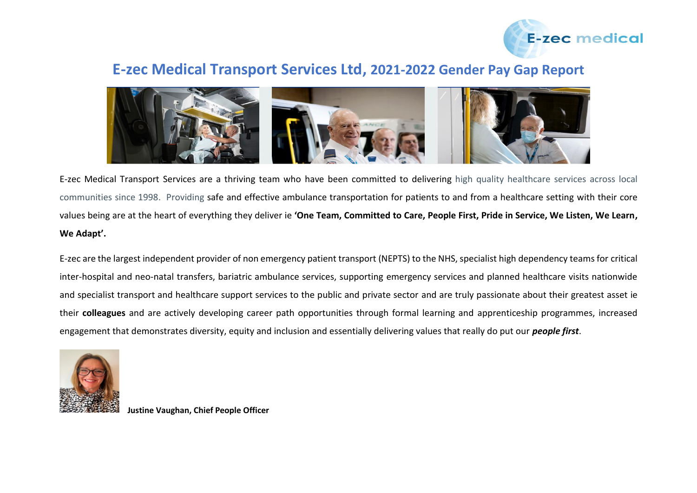

## **E-zec Medical Transport Services Ltd, 2021-2022 Gender Pay Gap Report**



E-zec Medical Transport Services are a thriving team who have been committed to delivering high quality healthcare services across local communities since 1998. Providing safe and effective ambulance transportation for patients to and from a healthcare setting with their core values being are at the heart of everything they deliver ie **'One Team, Committed to Care, People First, Pride in Service, We Listen, We Learn, We Adapt'.** 

E-zec are the largest independent provider of non emergency patient transport (NEPTS) to the NHS, specialist high dependency teams for critical inter-hospital and neo-natal transfers, bariatric ambulance services, supporting emergency services and planned healthcare visits nationwide and specialist transport and healthcare support services to the public and private sector and are truly passionate about their greatest asset ie their **colleagues** and are actively developing career path opportunities through formal learning and apprenticeship programmes, increased engagement that demonstrates diversity, equity and inclusion and essentially delivering values that really do put our *people first*.



**Justine Vaughan, Chief People Officer**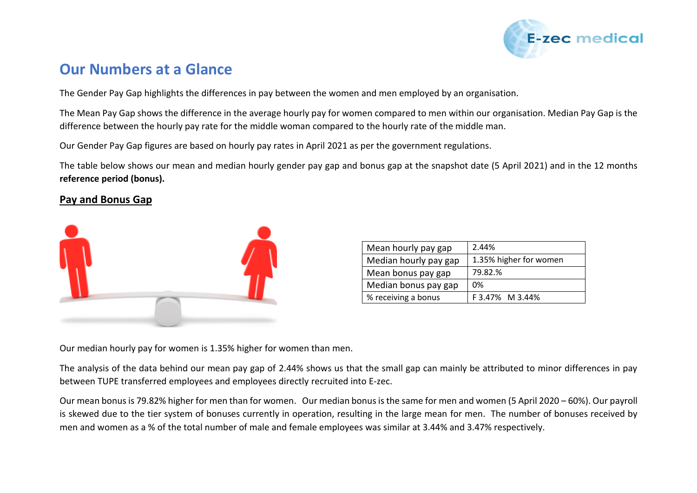

# **Our Numbers at a Glance**

The Gender Pay Gap highlights the differences in pay between the women and men employed by an organisation.

The Mean Pay Gap shows the difference in the average hourly pay for women compared to men within our organisation. Median Pay Gap is the difference between the hourly pay rate for the middle woman compared to the hourly rate of the middle man.

Our Gender Pay Gap figures are based on hourly pay rates in April 2021 as per the government regulations.

The table below shows our mean and median hourly gender pay gap and bonus gap at the snapshot date (5 April 2021) and in the 12 months **reference period (bonus).**

#### **Pay and Bonus Gap**



| Mean hourly pay gap   | 2.44%                  |
|-----------------------|------------------------|
| Median hourly pay gap | 1.35% higher for women |
| Mean bonus pay gap    | 79.82.%                |
| Median bonus pay gap  | 0%                     |
| % receiving a bonus   | F 3.47% M 3.44%        |

Our median hourly pay for women is 1.35% higher for women than men.

The analysis of the data behind our mean pay gap of 2.44% shows us that the small gap can mainly be attributed to minor differences in pay between TUPE transferred employees and employees directly recruited into E-zec.

Our mean bonus is 79.82% higher for men than for women. Our median bonus isthe same for men and women (5 April 2020 – 60%). Our payroll is skewed due to the tier system of bonuses currently in operation, resulting in the large mean for men. The number of bonuses received by men and women as a % of the total number of male and female employees was similar at 3.44% and 3.47% respectively.